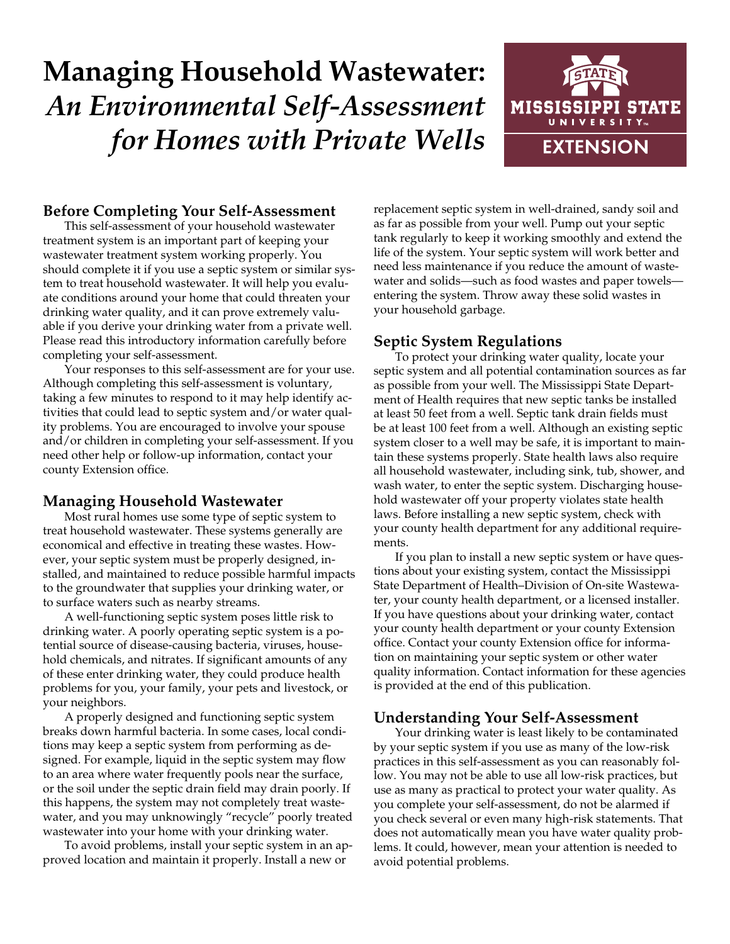# **Managing Household Wastewater:** *An Environmental Self-Assessment for Homes with Private Wells*



## **Before Completing Your Self-Assessment**

This self-assessment of your household wastewater treatment system is an important part of keeping your wastewater treatment system working properly. You should complete it if you use a septic system or similar system to treat household wastewater. It will help you evaluate conditions around your home that could threaten your drinking water quality, and it can prove extremely valuable if you derive your drinking water from a private well. Please read this introductory information carefully before completing your self-assessment.

Your responses to this self-assessment are for your use. Although completing this self-assessment is voluntary, taking a few minutes to respond to it may help identify activities that could lead to septic system and/or water quality problems. You are encouraged to involve your spouse and/or children in completing your self-assessment. If you need other help or follow-up information, contact your [county Extension office](http://msucares.com/counties/index.html).

#### **Managing Household Wastewater**

Most rural homes use some type of septic system to treat household wastewater. These systems generally are economical and effective in treating these wastes. However, your septic system must be properly designed, installed, and maintained to reduce possible harmful impacts to the groundwater that supplies your drinking water, or to surface waters such as nearby streams.

A well-functioning septic system poses little risk to drinking water. A poorly operating septic system is a potential source of disease-causing bacteria, viruses, household chemicals, and nitrates. If significant amounts of any of these enter drinking water, they could produce health problems for you, your family, your pets and livestock, or your neighbors.

A properly designed and functioning septic system breaks down harmful bacteria. In some cases, local conditions may keep a septic system from performing as designed. For example, liquid in the septic system may flow to an area where water frequently pools near the surface, or the soil under the septic drain field may drain poorly. If this happens, the system may not completely treat wastewater, and you may unknowingly "recycle" poorly treated wastewater into your home with your drinking water.

To avoid problems, install your septic system in an approved location and maintain it properly. Install a new or

replacement septic system in well-drained, sandy soil and as far as possible from your well. Pump out your septic tank regularly to keep it working smoothly and extend the life of the system. Your septic system will work better and need less maintenance if you reduce the amount of wastewater and solids—such as food wastes and paper towels entering the system. Throw away these solid wastes in your household garbage.

#### **Septic System Regulations**

To protect your drinking water quality, locate your septic system and all potential contamination sources as far as possible from your well. The Mississippi State Department of Health requires that new septic tanks be installed at least 50 feet from a well. Septic tank drain fields must be at least 100 feet from a well. Although an existing septic system closer to a well may be safe, it is important to maintain these systems properly. State health laws also require all household wastewater, including sink, tub, shower, and wash water, to enter the septic system. Discharging household wastewater off your property violates state health laws. Before installing a new septic system, check with your county health department for any additional requirements.

If you plan to install a new septic system or have questions about your existing system, contact the Mississippi State Department of Health–Division of On-site Wastewater, your county health department, or a licensed installer. If you have questions about your drinking water, contact your county health department or your county Extension office. Contact your county Extension office for information on maintaining your septic system or other water quality information. Contact information for these agencies is provided at the end of this publication.

#### **Understanding Your Self-Assessment**

Your drinking water is least likely to be contaminated by your septic system if you use as many of the low-risk practices in this self-assessment as you can reasonably follow. You may not be able to use all low-risk practices, but use as many as practical to protect your water quality. As you complete your self-assessment, do not be alarmed if you check several or even many high-risk statements. That does not automatically mean you have water quality problems. It could, however, mean your attention is needed to avoid potential problems.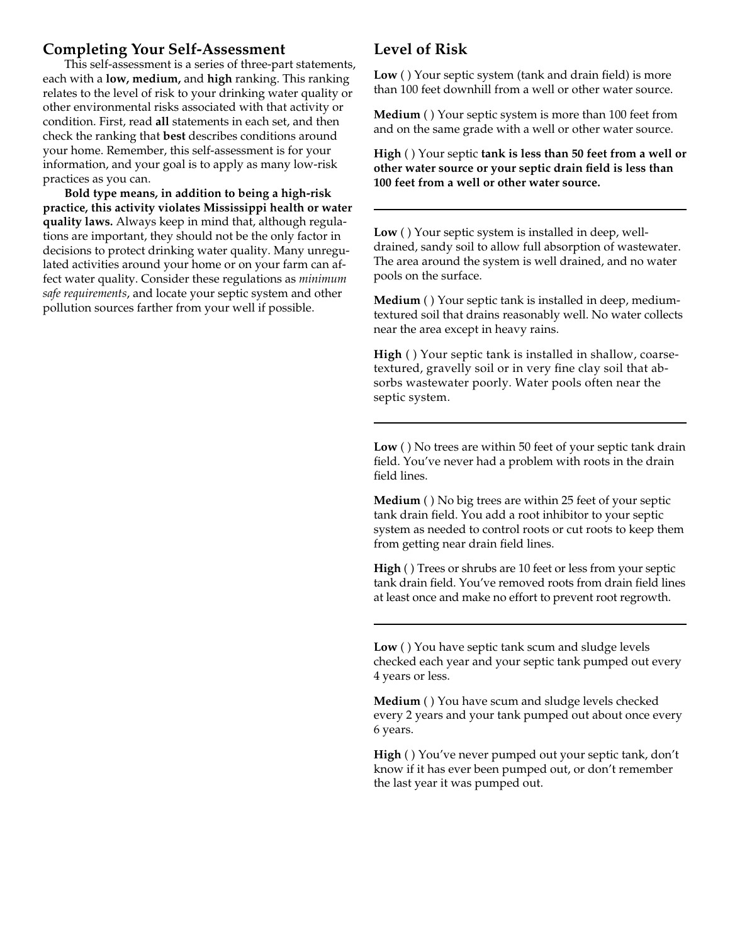#### **Completing Your Self-Assessment**

This self-assessment is a series of three-part statements, each with a **low, medium,** and **high** ranking. This ranking relates to the level of risk to your drinking water quality or other environmental risks associated with that activity or condition. First, read **all** statements in each set, and then check the ranking that **best** describes conditions around your home. Remember, this self-assessment is for your information, and your goal is to apply as many low-risk practices as you can.

**Bold type means, in addition to being a high-risk practice, this activity violates Mississippi health or water quality laws.** Always keep in mind that, although regulations are important, they should not be the only factor in decisions to protect drinking water quality. Many unregulated activities around your home or on your farm can affect water quality. Consider these regulations as *minimum safe requirements*, and locate your septic system and other pollution sources farther from your well if possible.

### **Level of Risk**

**Low** ( ) Your septic system (tank and drain field) is more than 100 feet downhill from a well or other water source.

**Medium** ( ) Your septic system is more than 100 feet from and on the same grade with a well or other water source.

**High** ( ) Your septic **tank is less than 50 feet from a well or other water source or your septic drain field is less than 100 feet from a well or other water source.**

**Low** ( ) Your septic system is installed in deep, welldrained, sandy soil to allow full absorption of wastewater. The area around the system is well drained, and no water pools on the surface.

**Medium** ( ) Your septic tank is installed in deep, mediumtextured soil that drains reasonably well. No water collects near the area except in heavy rains.

**High** ( ) Your septic tank is installed in shallow, coarsetextured, gravelly soil or in very fine clay soil that absorbs wastewater poorly. Water pools often near the septic system.

**Low** ( ) No trees are within 50 feet of your septic tank drain field. You've never had a problem with roots in the drain field lines.

**Medium** ( ) No big trees are within 25 feet of your septic tank drain field. You add a root inhibitor to your septic system as needed to control roots or cut roots to keep them from getting near drain field lines.

**High** ( ) Trees or shrubs are 10 feet or less from your septic tank drain field. You've removed roots from drain field lines at least once and make no effort to prevent root regrowth.

**Low** ( ) You have septic tank scum and sludge levels checked each year and your septic tank pumped out every 4 years or less.

**Medium** ( ) You have scum and sludge levels checked every 2 years and your tank pumped out about once every 6 years.

**High** ( ) You've never pumped out your septic tank, don't know if it has ever been pumped out, or don't remember the last year it was pumped out.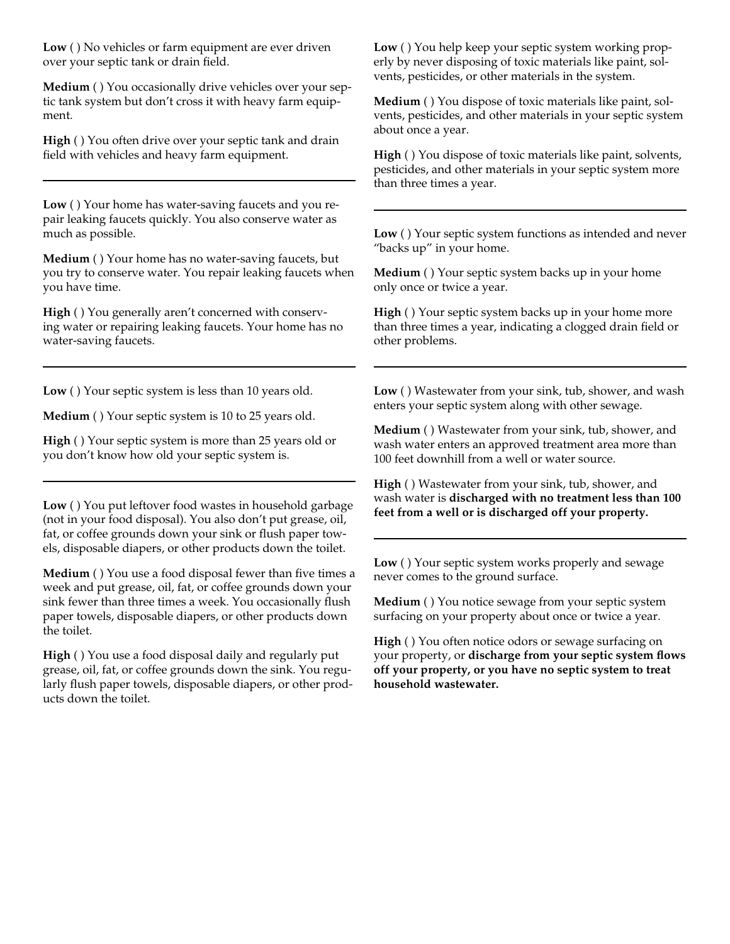**Low** ( ) No vehicles or farm equipment are ever driven over your septic tank or drain field.

**Medium** ( ) You occasionally drive vehicles over your septic tank system but don't cross it with heavy farm equipment.

**High** ( ) You often drive over your septic tank and drain field with vehicles and heavy farm equipment.

**Low** ( ) Your home has water-saving faucets and you repair leaking faucets quickly. You also conserve water as much as possible.

**Medium** ( ) Your home has no water-saving faucets, but you try to conserve water. You repair leaking faucets when you have time.

**High** ( ) You generally aren't concerned with conserving water or repairing leaking faucets. Your home has no water-saving faucets.

**Low** ( ) Your septic system is less than 10 years old.

**Medium** ( ) Your septic system is 10 to 25 years old.

**High** ( ) Your septic system is more than 25 years old or you don't know how old your septic system is.

**Low** ( ) You put leftover food wastes in household garbage (not in your food disposal). You also don't put grease, oil, fat, or coffee grounds down your sink or flush paper towels, disposable diapers, or other products down the toilet.

**Medium** () You use a food disposal fewer than five times a week and put grease, oil, fat, or coffee grounds down your sink fewer than three times a week. You occasionally flush paper towels, disposable diapers, or other products down the toilet.

**High** ( ) You use a food disposal daily and regularly put grease, oil, fat, or coffee grounds down the sink. You regularly flush paper towels, disposable diapers, or other products down the toilet.

**Low** ( ) You help keep your septic system working properly by never disposing of toxic materials like paint, solvents, pesticides, or other materials in the system.

**Medium** ( ) You dispose of toxic materials like paint, solvents, pesticides, and other materials in your septic system about once a year.

**High** ( ) You dispose of toxic materials like paint, solvents, pesticides, and other materials in your septic system more than three times a year.

**Low** ( ) Your septic system functions as intended and never "backs up" in your home.

**Medium** ( ) Your septic system backs up in your home only once or twice a year.

**High** ( ) Your septic system backs up in your home more than three times a year, indicating a clogged drain field or other problems.

**Low** ( ) Wastewater from your sink, tub, shower, and wash enters your septic system along with other sewage.

**Medium** ( ) Wastewater from your sink, tub, shower, and wash water enters an approved treatment area more than 100 feet downhill from a well or water source.

**High** ( ) Wastewater from your sink, tub, shower, and wash water is **discharged with no treatment less than 100 feet from a well or is discharged off your property.**

**Low** ( ) Your septic system works properly and sewage never comes to the ground surface.

**Medium** ( ) You notice sewage from your septic system surfacing on your property about once or twice a year.

**High** ( ) You often notice odors or sewage surfacing on your property, or **discharge from your septic system flows off your property, or you have no septic system to treat household wastewater.**